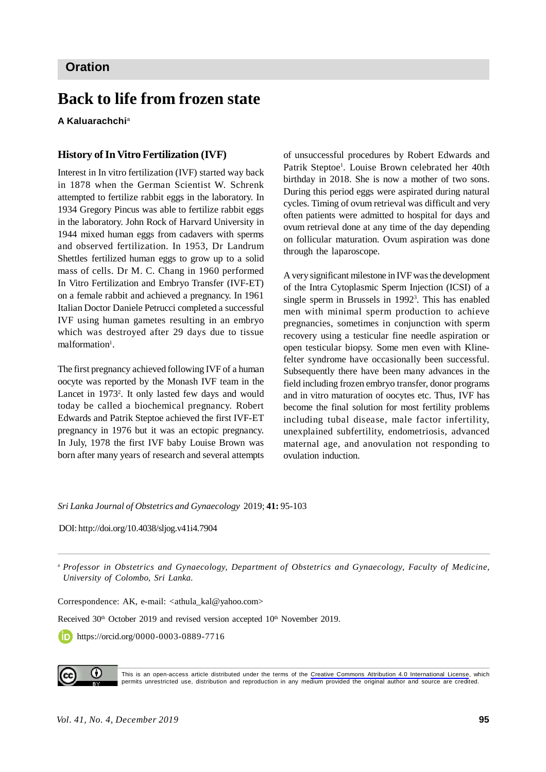### **Oration**

# **Back to life from frozen state**

**A Kaluarachchi**<sup>a</sup>

#### **History of In Vitro Fertilization (IVF)**

Interest in In vitro fertilization (IVF) started way back in 1878 when the German Scientist W. Schrenk attempted to fertilize rabbit eggs in the laboratory. In 1934 Gregory Pincus was able to fertilize rabbit eggs in the laboratory. John Rock of Harvard University in 1944 mixed human eggs from cadavers with sperms and observed fertilization. In 1953, Dr Landrum Shettles fertilized human eggs to grow up to a solid mass of cells. Dr M. C. Chang in 1960 performed In Vitro Fertilization and Embryo Transfer (IVF-ET) on a female rabbit and achieved a pregnancy. In 1961 Italian Doctor Daniele Petrucci completed a successful IVF using human gametes resulting in an embryo which was destroyed after 29 days due to tissue malformation<sup>1</sup>.

The first pregnancy achieved following IVF of a human oocyte was reported by the Monash IVF team in the Lancet in 1973<sup>2</sup>. It only lasted few days and would today be called a biochemical pregnancy. Robert Edwards and Patrik Steptoe achieved the first IVF-ET pregnancy in 1976 but it was an ectopic pregnancy. In July, 1978 the first IVF baby Louise Brown was born after many years of research and several attempts

of unsuccessful procedures by Robert Edwards and Patrik Steptoe<sup>1</sup>. Louise Brown celebrated her 40th birthday in 2018. She is now a mother of two sons. During this period eggs were aspirated during natural cycles. Timing of ovum retrieval was difficult and very often patients were admitted to hospital for days and ovum retrieval done at any time of the day depending on follicular maturation. Ovum aspiration was done through the laparoscope.

A very significant milestone in IVF was the development of the Intra Cytoplasmic Sperm Injection (ICSI) of a single sperm in Brussels in 1992<sup>3</sup> . This has enabled men with minimal sperm production to achieve pregnancies, sometimes in conjunction with sperm recovery using a testicular fine needle aspiration or open testicular biopsy. Some men even with Klinefelter syndrome have occasionally been successful. Subsequently there have been many advances in the field including frozen embryo transfer, donor programs and in vitro maturation of oocytes etc. Thus, IVF has become the final solution for most fertility problems including tubal disease, male factor infertility, unexplained subfertility, endometriosis, advanced maternal age, and anovulation not responding to ovulation induction.

*Sri Lanka Journal of Obstetrics and Gynaecology* 2019; **41:** 95-103

DOI: http://doi.org/10.4038/sljog.v41i4.7904

<sup>a</sup> *Professor in Obstetrics and Gynaecology, Department of Obstetrics and Gynaecology, Faculty of Medicine, University of Colombo, Sri Lanka.*

Correspondence: AK, e-mail: <athula\_kal@yahoo.com>

Received 30<sup>th</sup> October 2019 and revised version accepted 10<sup>th</sup> November 2019.

https://orcid.org/0000-0003-0889-7716



This is an open-access article distributed under the terms of the [Creative Commons Attribution 4.0 International License](https://creativecommons.org/licenses/by/4.0/), which permits unrestricted use, distribution and reproduction in any medium provided the original author and source are credited.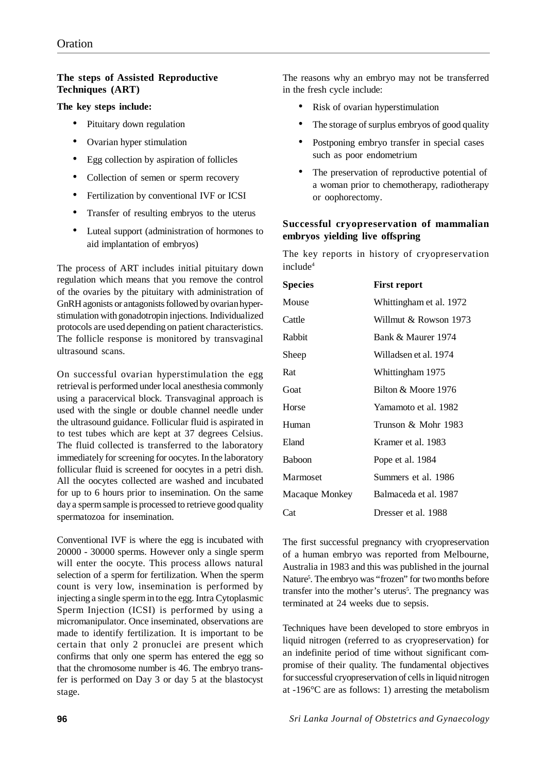### **The steps of Assisted Reproductive Techniques (ART)**

#### **The key steps include:**

- Pituitary down regulation
- Ovarian hyper stimulation
- Egg collection by aspiration of follicles
- Collection of semen or sperm recovery
- Fertilization by conventional IVF or ICSI
- Transfer of resulting embryos to the uterus
- Luteal support (administration of hormones to aid implantation of embryos)

The process of ART includes initial pituitary down regulation which means that you remove the control of the ovaries by the pituitary with administration of GnRH agonists or antagonists followed by ovarian hyperstimulation with gonadotropin injections. Individualized protocols are used depending on patient characteristics. The follicle response is monitored by transvaginal ultrasound scans.

On successful ovarian hyperstimulation the egg retrieval is performed under local anesthesia commonly using a paracervical block. Transvaginal approach is used with the single or double channel needle under the ultrasound guidance. Follicular fluid is aspirated in to test tubes which are kept at 37 degrees Celsius. The fluid collected is transferred to the laboratory immediately for screening for oocytes. In the laboratory follicular fluid is screened for oocytes in a petri dish. All the oocytes collected are washed and incubated for up to 6 hours prior to insemination. On the same day a sperm sample is processed to retrieve good quality spermatozoa for insemination.

Conventional IVF is where the egg is incubated with 20000 - 30000 sperms. However only a single sperm will enter the oocyte. This process allows natural selection of a sperm for fertilization. When the sperm count is very low, insemination is performed by injecting a single sperm in to the egg. Intra Cytoplasmic Sperm Injection (ICSI) is performed by using a micromanipulator. Once inseminated, observations are made to identify fertilization. It is important to be certain that only 2 pronuclei are present which confirms that only one sperm has entered the egg so that the chromosome number is 46. The embryo transfer is performed on Day 3 or day 5 at the blastocyst stage.

The reasons why an embryo may not be transferred in the fresh cycle include:

- Risk of ovarian hyperstimulation
- The storage of surplus embryos of good quality
- Postponing embryo transfer in special cases such as poor endometrium
- The preservation of reproductive potential of a woman prior to chemotherapy, radiotherapy or oophorectomy.

### **Successful cryopreservation of mammalian embryos yielding live offspring**

The key reports in history of cryopreservation include<sup>4</sup>

| <b>Species</b> | First report            |  |  |
|----------------|-------------------------|--|--|
| Mouse          | Whittingham et al. 1972 |  |  |
| Cattle         | Willmut & Rowson 1973   |  |  |
| Rabbit         | Bank & Maurer 1974      |  |  |
| Sheep          | Willadsen et al. 1974   |  |  |
| Rat            | Whittingham 1975        |  |  |
| Goat           | Bilton & Moore 1976     |  |  |
| Horse          | Yamamoto et al. 1982    |  |  |
| Human          | Trunson & Mohr 1983     |  |  |
| Eland          | Kramer et al. 1983      |  |  |
| <b>Baboon</b>  | Pope et al. 1984        |  |  |
| Marmoset       | Summers et al. 1986     |  |  |
| Macaque Monkey | Balmaceda et al. 1987   |  |  |
| Cat            | Dresser et al. 1988     |  |  |

The first successful pregnancy with cryopreservation of a human embryo was reported from Melbourne, Australia in 1983 and this was published in the journal Nature<sup>5</sup>. The embryo was "frozen" for two months before transfer into the mother's uterus<sup>5</sup>. The pregnancy was terminated at 24 weeks due to sepsis.

Techniques have been developed to store embryos in liquid nitrogen (referred to as cryopreservation) for an indefinite period of time without significant compromise of their quality. The fundamental objectives for successful cryopreservation of cells in liquid nitrogen at -196°C are as follows: 1) arresting the metabolism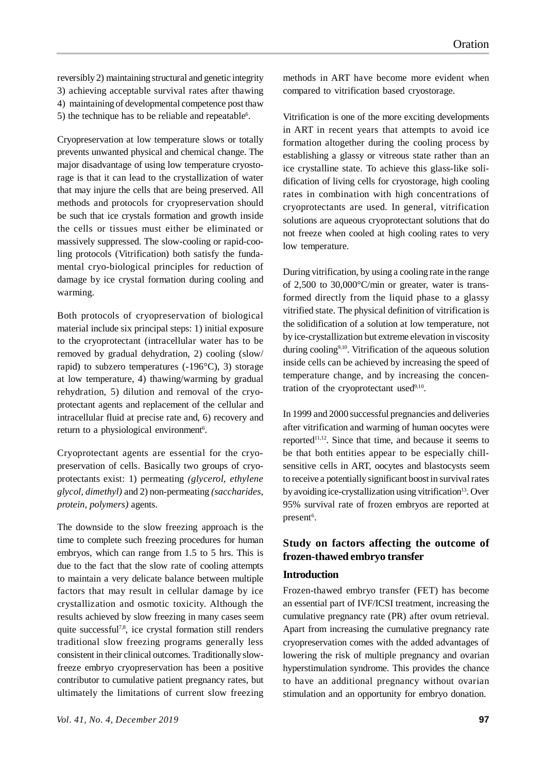reversibly 2) maintaining structural and genetic integrity 3) achieving acceptable survival rates after thawing 4) maintaining of developmental competence post thaw 5) the technique has to be reliable and repeatable $6$ .

Cryopreservation at low temperature slows or totally prevents unwanted physical and chemical change. The major disadvantage of using low temperature cryostorage is that it can lead to the crystallization of water that may injure the cells that are being preserved. All methods and protocols for cryopreservation should be such that ice crystals formation and growth inside the cells or tissues must either be eliminated or massively suppressed. The slow-cooling or rapid-cooling protocols (Vitrification) both satisfy the fundamental cryo-biological principles for reduction of damage by ice crystal formation during cooling and warming.

Both protocols of cryopreservation of biological material include six principal steps: 1) initial exposure to the cryoprotectant (intracellular water has to be removed by gradual dehydration, 2) cooling (slow/ rapid) to subzero temperatures  $(-196^{\circ}C)$ , 3) storage at low temperature, 4) thawing/warming by gradual rehydration, 5) dilution and removal of the cryoprotectant agents and replacement of the cellular and intracellular fluid at precise rate and, 6) recovery and return to a physiological environment<sup>6</sup>.

Cryoprotectant agents are essential for the cryopreservation of cells. Basically two groups of cryoprotectants exist: 1) permeating *(glycerol, ethylene glycol, dimethyl)* and 2) non-permeating *(saccharides, protein, polymers)* agents.

The downside to the slow freezing approach is the time to complete such freezing procedures for human embryos, which can range from 1.5 to 5 hrs. This is due to the fact that the slow rate of cooling attempts to maintain a very delicate balance between multiple factors that may result in cellular damage by ice crystallization and osmotic toxicity. Although the results achieved by slow freezing in many cases seem quite successful<sup>7,8</sup>, ice crystal formation still renders traditional slow freezing programs generally less consistent in their clinical outcomes. Traditionally slowfreeze embryo cryopreservation has been a positive contributor to cumulative patient pregnancy rates, but ultimately the limitations of current slow freezing

methods in ART have become more evident when compared to vitrification based cryostorage.

Vitrification is one of the more exciting developments in ART in recent years that attempts to avoid ice formation altogether during the cooling process by establishing a glassy or vitreous state rather than an ice crystalline state. To achieve this glass-like solidification of living cells for cryostorage, high cooling rates in combination with high concentrations of cryoprotectants are used. In general, vitrification solutions are aqueous cryoprotectant solutions that do not freeze when cooled at high cooling rates to very low temperature.

During vitrification, by using a cooling rate in the range of 2,500 to 30,000°C/min or greater, water is transformed directly from the liquid phase to a glassy vitrified state. The physical definition of vitrification is the solidification of a solution at low temperature, not by ice-crystallization but extreme elevation in viscosity during cooling<sup>9,10</sup>. Vitrification of the aqueous solution inside cells can be achieved by increasing the speed of temperature change, and by increasing the concentration of the cryoprotectant used<sup>9,10</sup>.

In 1999 and 2000 successful pregnancies and deliveries after vitrification and warming of human oocytes were reported $11,12$ . Since that time, and because it seems to be that both entities appear to be especially chillsensitive cells in ART, oocytes and blastocysts seem to receive a potentially significant boost in survival rates by avoiding ice-crystallization using vitrification<sup>13</sup>. Over 95% survival rate of frozen embryos are reported at present<sup>6</sup>.

### **Study on factors affecting the outcome of frozen-thawed embryo transfer**

#### **Introduction**

Frozen-thawed embryo transfer (FET) has become an essential part of IVF/ICSI treatment, increasing the cumulative pregnancy rate (PR) after ovum retrieval. Apart from increasing the cumulative pregnancy rate cryopreservation comes with the added advantages of lowering the risk of multiple pregnancy and ovarian hyperstimulation syndrome. This provides the chance to have an additional pregnancy without ovarian stimulation and an opportunity for embryo donation.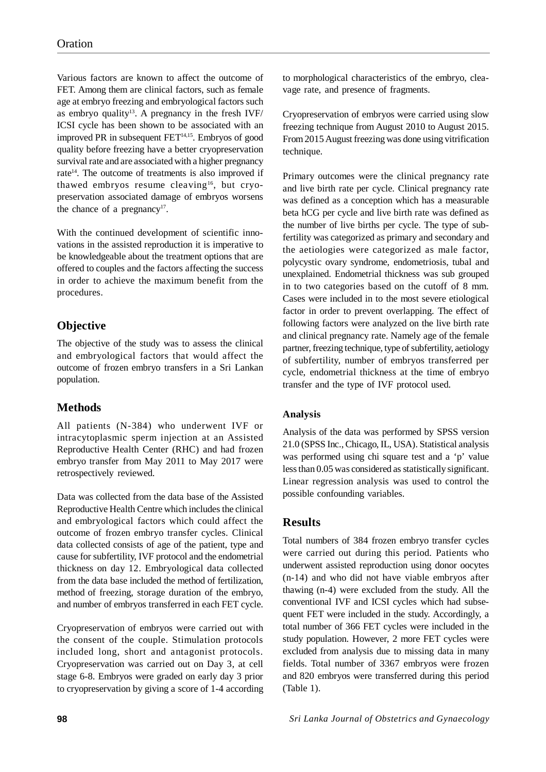Various factors are known to affect the outcome of FET. Among them are clinical factors, such as female age at embryo freezing and embryological factors such as embryo quality<sup>13</sup>. A pregnancy in the fresh IVF/ ICSI cycle has been shown to be associated with an improved PR in subsequent FET14,15. Embryos of good quality before freezing have a better cryopreservation survival rate and are associated with a higher pregnancy rate<sup>14</sup>. The outcome of treatments is also improved if thawed embryos resume cleaving<sup>16</sup>, but cryopreservation associated damage of embryos worsens the chance of a pregnancy $17$ .

With the continued development of scientific innovations in the assisted reproduction it is imperative to be knowledgeable about the treatment options that are offered to couples and the factors affecting the success in order to achieve the maximum benefit from the procedures.

# **Objective**

The objective of the study was to assess the clinical and embryological factors that would affect the outcome of frozen embryo transfers in a Sri Lankan population.

# **Methods**

All patients (N-384) who underwent IVF or intracytoplasmic sperm injection at an Assisted Reproductive Health Center (RHC) and had frozen embryo transfer from May 2011 to May 2017 were retrospectively reviewed.

Data was collected from the data base of the Assisted Reproductive Health Centre which includes the clinical and embryological factors which could affect the outcome of frozen embryo transfer cycles. Clinical data collected consists of age of the patient, type and cause for subfertility, IVF protocol and the endometrial thickness on day 12. Embryological data collected from the data base included the method of fertilization, method of freezing, storage duration of the embryo, and number of embryos transferred in each FET cycle.

Cryopreservation of embryos were carried out with the consent of the couple. Stimulation protocols included long, short and antagonist protocols. Cryopreservation was carried out on Day 3, at cell stage 6-8. Embryos were graded on early day 3 prior to cryopreservation by giving a score of 1-4 according to morphological characteristics of the embryo, cleavage rate, and presence of fragments.

Cryopreservation of embryos were carried using slow freezing technique from August 2010 to August 2015. From 2015 August freezing was done using vitrification technique.

Primary outcomes were the clinical pregnancy rate and live birth rate per cycle. Clinical pregnancy rate was defined as a conception which has a measurable beta hCG per cycle and live birth rate was defined as the number of live births per cycle. The type of subfertility was categorized as primary and secondary and the aetiologies were categorized as male factor, polycystic ovary syndrome, endometriosis, tubal and unexplained. Endometrial thickness was sub grouped in to two categories based on the cutoff of 8 mm. Cases were included in to the most severe etiological factor in order to prevent overlapping. The effect of following factors were analyzed on the live birth rate and clinical pregnancy rate. Namely age of the female partner, freezing technique, type of subfertility, aetiology of subfertility, number of embryos transferred per cycle, endometrial thickness at the time of embryo transfer and the type of IVF protocol used.

### **Analysis**

Analysis of the data was performed by SPSS version 21.0 (SPSS Inc., Chicago, IL, USA). Statistical analysis was performed using chi square test and a 'p' value less than 0.05 was considered as statistically significant. Linear regression analysis was used to control the possible confounding variables.

# **Results**

Total numbers of 384 frozen embryo transfer cycles were carried out during this period. Patients who underwent assisted reproduction using donor oocytes (n-14) and who did not have viable embryos after thawing (n-4) were excluded from the study. All the conventional IVF and ICSI cycles which had subsequent FET were included in the study. Accordingly, a total number of 366 FET cycles were included in the study population. However, 2 more FET cycles were excluded from analysis due to missing data in many fields. Total number of 3367 embryos were frozen and 820 embryos were transferred during this period (Table 1).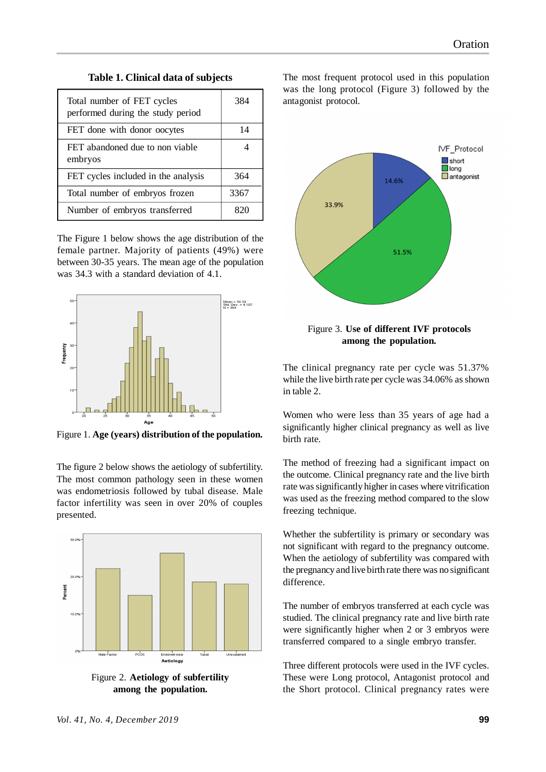#### **Table 1. Clinical data of subjects**

| Total number of FET cycles<br>performed during the study period | 384  |
|-----------------------------------------------------------------|------|
| FET done with donor oocytes                                     | 14   |
| FET abandoned due to non viable<br>embryos                      |      |
| FET cycles included in the analysis                             | 364  |
| Total number of embryos frozen                                  | 3367 |
| Number of embryos transferred                                   |      |

The Figure 1 below shows the age distribution of the female partner. Majority of patients (49%) were between 30-35 years. The mean age of the population was 34.3 with a standard deviation of 4.1.



Figure 1. **Age (years) distribution of the population.**

The figure 2 below shows the aetiology of subfertility. The most common pathology seen in these women was endometriosis followed by tubal disease. Male factor infertility was seen in over 20% of couples presented.



Figure 2. **Aetiology of subfertility among the population.**

The most frequent protocol used in this population was the long protocol (Figure 3) followed by the antagonist protocol.



#### Figure 3. **Use of different IVF protocols among the population.**

The clinical pregnancy rate per cycle was 51.37% while the live birth rate per cycle was 34.06% as shown in table 2.

Women who were less than 35 years of age had a significantly higher clinical pregnancy as well as live birth rate.

The method of freezing had a significant impact on the outcome. Clinical pregnancy rate and the live birth rate was significantly higher in cases where vitrification was used as the freezing method compared to the slow freezing technique.

Whether the subfertility is primary or secondary was not significant with regard to the pregnancy outcome. When the aetiology of subfertility was compared with the pregnancy and live birth rate there was no significant difference.

The number of embryos transferred at each cycle was studied. The clinical pregnancy rate and live birth rate were significantly higher when 2 or 3 embryos were transferred compared to a single embryo transfer.

Three different protocols were used in the IVF cycles. These were Long protocol, Antagonist protocol and the Short protocol. Clinical pregnancy rates were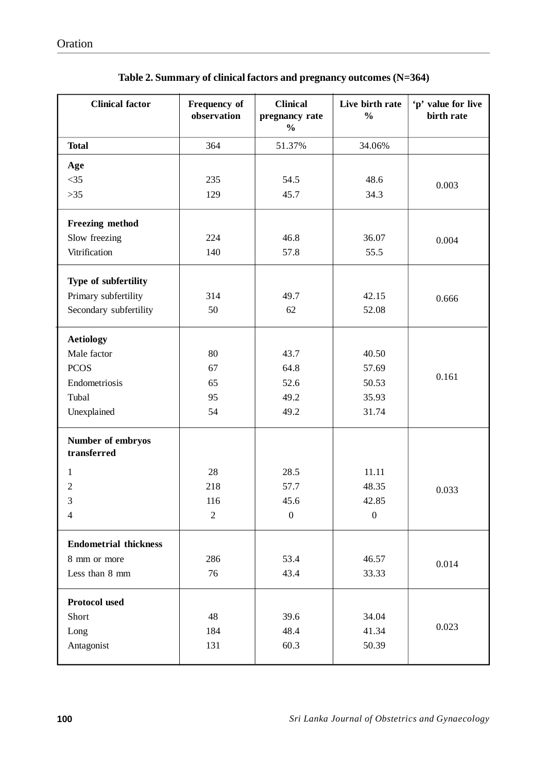| 364<br><b>Total</b><br>51.37%<br>34.06%<br>Age<br>$<$ 35<br>235<br>54.5<br>48.6<br>0.003<br>$>35$<br>45.7<br>34.3<br>129<br>Freezing method<br>Slow freezing<br>46.8<br>36.07<br>224<br>0.004<br>Vitrification<br>140<br>57.8<br>55.5<br>Type of subfertility<br>Primary subfertility<br>314<br>49.7<br>42.15<br>0.666<br>Secondary subfertility<br>50<br>62<br>52.08<br><b>Aetiology</b><br>Male factor<br>80<br>43.7<br>40.50<br><b>PCOS</b><br>67<br>64.8<br>57.69<br>0.161<br>Endometriosis<br>65<br>52.6<br>50.53<br>Tubal<br>49.2<br>35.93<br>95<br>Unexplained<br>54<br>49.2<br>31.74<br>Number of embryos<br>transferred<br>28<br>28.5<br>11.11<br>1<br>57.7<br>218<br>48.35<br>2<br>0.033<br>3<br>45.6<br>42.85<br>116<br>$\boldsymbol{0}$<br>$\boldsymbol{0}$<br>$\overline{2}$<br>$\overline{4}$<br><b>Endometrial thickness</b><br>286<br>53.4<br>46.57<br>8 mm or more<br>0.014<br>Less than 8 mm<br>76<br>43.4<br>33.33<br><b>Protocol used</b><br>Short<br>48<br>39.6<br>34.04<br>0.023<br>48.4<br>41.34<br>Long<br>184<br>Antagonist<br>60.3<br>50.39<br>131 | <b>Clinical factor</b> | Frequency of<br>observation | <b>Clinical</b><br>pregnancy rate<br>$\frac{0}{0}$ | Live birth rate<br>$\frac{0}{0}$ | 'p' value for live<br>birth rate |
|------------------------------------------------------------------------------------------------------------------------------------------------------------------------------------------------------------------------------------------------------------------------------------------------------------------------------------------------------------------------------------------------------------------------------------------------------------------------------------------------------------------------------------------------------------------------------------------------------------------------------------------------------------------------------------------------------------------------------------------------------------------------------------------------------------------------------------------------------------------------------------------------------------------------------------------------------------------------------------------------------------------------------------------------------------------------------|------------------------|-----------------------------|----------------------------------------------------|----------------------------------|----------------------------------|
|                                                                                                                                                                                                                                                                                                                                                                                                                                                                                                                                                                                                                                                                                                                                                                                                                                                                                                                                                                                                                                                                              |                        |                             |                                                    |                                  |                                  |
|                                                                                                                                                                                                                                                                                                                                                                                                                                                                                                                                                                                                                                                                                                                                                                                                                                                                                                                                                                                                                                                                              |                        |                             |                                                    |                                  |                                  |
|                                                                                                                                                                                                                                                                                                                                                                                                                                                                                                                                                                                                                                                                                                                                                                                                                                                                                                                                                                                                                                                                              |                        |                             |                                                    |                                  |                                  |
|                                                                                                                                                                                                                                                                                                                                                                                                                                                                                                                                                                                                                                                                                                                                                                                                                                                                                                                                                                                                                                                                              |                        |                             |                                                    |                                  |                                  |
|                                                                                                                                                                                                                                                                                                                                                                                                                                                                                                                                                                                                                                                                                                                                                                                                                                                                                                                                                                                                                                                                              |                        |                             |                                                    |                                  |                                  |
|                                                                                                                                                                                                                                                                                                                                                                                                                                                                                                                                                                                                                                                                                                                                                                                                                                                                                                                                                                                                                                                                              |                        |                             |                                                    |                                  |                                  |
|                                                                                                                                                                                                                                                                                                                                                                                                                                                                                                                                                                                                                                                                                                                                                                                                                                                                                                                                                                                                                                                                              |                        |                             |                                                    |                                  |                                  |
|                                                                                                                                                                                                                                                                                                                                                                                                                                                                                                                                                                                                                                                                                                                                                                                                                                                                                                                                                                                                                                                                              |                        |                             |                                                    |                                  |                                  |
|                                                                                                                                                                                                                                                                                                                                                                                                                                                                                                                                                                                                                                                                                                                                                                                                                                                                                                                                                                                                                                                                              |                        |                             |                                                    |                                  |                                  |
|                                                                                                                                                                                                                                                                                                                                                                                                                                                                                                                                                                                                                                                                                                                                                                                                                                                                                                                                                                                                                                                                              |                        |                             |                                                    |                                  |                                  |
|                                                                                                                                                                                                                                                                                                                                                                                                                                                                                                                                                                                                                                                                                                                                                                                                                                                                                                                                                                                                                                                                              |                        |                             |                                                    |                                  |                                  |
|                                                                                                                                                                                                                                                                                                                                                                                                                                                                                                                                                                                                                                                                                                                                                                                                                                                                                                                                                                                                                                                                              |                        |                             |                                                    |                                  |                                  |
|                                                                                                                                                                                                                                                                                                                                                                                                                                                                                                                                                                                                                                                                                                                                                                                                                                                                                                                                                                                                                                                                              |                        |                             |                                                    |                                  |                                  |
|                                                                                                                                                                                                                                                                                                                                                                                                                                                                                                                                                                                                                                                                                                                                                                                                                                                                                                                                                                                                                                                                              |                        |                             |                                                    |                                  |                                  |
|                                                                                                                                                                                                                                                                                                                                                                                                                                                                                                                                                                                                                                                                                                                                                                                                                                                                                                                                                                                                                                                                              |                        |                             |                                                    |                                  |                                  |
|                                                                                                                                                                                                                                                                                                                                                                                                                                                                                                                                                                                                                                                                                                                                                                                                                                                                                                                                                                                                                                                                              |                        |                             |                                                    |                                  |                                  |
|                                                                                                                                                                                                                                                                                                                                                                                                                                                                                                                                                                                                                                                                                                                                                                                                                                                                                                                                                                                                                                                                              |                        |                             |                                                    |                                  |                                  |
|                                                                                                                                                                                                                                                                                                                                                                                                                                                                                                                                                                                                                                                                                                                                                                                                                                                                                                                                                                                                                                                                              |                        |                             |                                                    |                                  |                                  |
|                                                                                                                                                                                                                                                                                                                                                                                                                                                                                                                                                                                                                                                                                                                                                                                                                                                                                                                                                                                                                                                                              |                        |                             |                                                    |                                  |                                  |
|                                                                                                                                                                                                                                                                                                                                                                                                                                                                                                                                                                                                                                                                                                                                                                                                                                                                                                                                                                                                                                                                              |                        |                             |                                                    |                                  |                                  |
|                                                                                                                                                                                                                                                                                                                                                                                                                                                                                                                                                                                                                                                                                                                                                                                                                                                                                                                                                                                                                                                                              |                        |                             |                                                    |                                  |                                  |
|                                                                                                                                                                                                                                                                                                                                                                                                                                                                                                                                                                                                                                                                                                                                                                                                                                                                                                                                                                                                                                                                              |                        |                             |                                                    |                                  |                                  |
|                                                                                                                                                                                                                                                                                                                                                                                                                                                                                                                                                                                                                                                                                                                                                                                                                                                                                                                                                                                                                                                                              |                        |                             |                                                    |                                  |                                  |
|                                                                                                                                                                                                                                                                                                                                                                                                                                                                                                                                                                                                                                                                                                                                                                                                                                                                                                                                                                                                                                                                              |                        |                             |                                                    |                                  |                                  |
|                                                                                                                                                                                                                                                                                                                                                                                                                                                                                                                                                                                                                                                                                                                                                                                                                                                                                                                                                                                                                                                                              |                        |                             |                                                    |                                  |                                  |
|                                                                                                                                                                                                                                                                                                                                                                                                                                                                                                                                                                                                                                                                                                                                                                                                                                                                                                                                                                                                                                                                              |                        |                             |                                                    |                                  |                                  |
|                                                                                                                                                                                                                                                                                                                                                                                                                                                                                                                                                                                                                                                                                                                                                                                                                                                                                                                                                                                                                                                                              |                        |                             |                                                    |                                  |                                  |
|                                                                                                                                                                                                                                                                                                                                                                                                                                                                                                                                                                                                                                                                                                                                                                                                                                                                                                                                                                                                                                                                              |                        |                             |                                                    |                                  |                                  |

| Table 2. Summary of clinical factors and pregnancy outcomes (N=364) |  |  |  |  |
|---------------------------------------------------------------------|--|--|--|--|
|---------------------------------------------------------------------|--|--|--|--|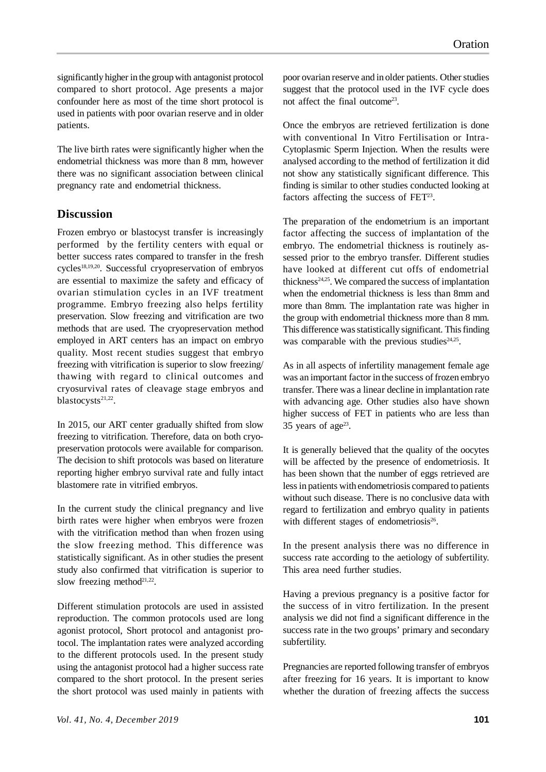significantly higher in the group with antagonist protocol compared to short protocol. Age presents a major confounder here as most of the time short protocol is used in patients with poor ovarian reserve and in older patients.

The live birth rates were significantly higher when the endometrial thickness was more than 8 mm, however there was no significant association between clinical pregnancy rate and endometrial thickness.

### **Discussion**

Frozen embryo or blastocyst transfer is increasingly performed by the fertility centers with equal or better success rates compared to transfer in the fresh cycles18,19,20. Successful cryopreservation of embryos are essential to maximize the safety and efficacy of ovarian stimulation cycles in an IVF treatment programme. Embryo freezing also helps fertility preservation. Slow freezing and vitrification are two methods that are used. The cryopreservation method employed in ART centers has an impact on embryo quality. Most recent studies suggest that embryo freezing with vitrification is superior to slow freezing/ thawing with regard to clinical outcomes and cryosurvival rates of cleavage stage embryos and blastocysts<sup>21,22</sup>.

In 2015, our ART center gradually shifted from slow freezing to vitrification. Therefore, data on both cryopreservation protocols were available for comparison. The decision to shift protocols was based on literature reporting higher embryo survival rate and fully intact blastomere rate in vitrified embryos.

In the current study the clinical pregnancy and live birth rates were higher when embryos were frozen with the vitrification method than when frozen using the slow freezing method. This difference was statistically significant. As in other studies the present study also confirmed that vitrification is superior to slow freezing method $2^{1,22}$ .

Different stimulation protocols are used in assisted reproduction. The common protocols used are long agonist protocol, Short protocol and antagonist protocol. The implantation rates were analyzed according to the different protocols used. In the present study using the antagonist protocol had a higher success rate compared to the short protocol. In the present series the short protocol was used mainly in patients with poor ovarian reserve and in older patients. Other studies suggest that the protocol used in the IVF cycle does not affect the final outcome<sup>23</sup>.

Once the embryos are retrieved fertilization is done with conventional In Vitro Fertilisation or Intra-Cytoplasmic Sperm Injection. When the results were analysed according to the method of fertilization it did not show any statistically significant difference. This finding is similar to other studies conducted looking at factors affecting the success of FET<sup>23</sup>.

The preparation of the endometrium is an important factor affecting the success of implantation of the embryo. The endometrial thickness is routinely assessed prior to the embryo transfer. Different studies have looked at different cut offs of endometrial thickness $24.25$ . We compared the success of implantation when the endometrial thickness is less than 8mm and more than 8mm. The implantation rate was higher in the group with endometrial thickness more than 8 mm. This difference was statistically significant. This finding was comparable with the previous studies $24.25$ .

As in all aspects of infertility management female age was an important factor in the success of frozen embryo transfer. There was a linear decline in implantation rate with advancing age. Other studies also have shown higher success of FET in patients who are less than 35 years of age $23$ .

It is generally believed that the quality of the oocytes will be affected by the presence of endometriosis. It has been shown that the number of eggs retrieved are less in patients with endometriosis compared to patients without such disease. There is no conclusive data with regard to fertilization and embryo quality in patients with different stages of endometriosis<sup>26</sup>.

In the present analysis there was no difference in success rate according to the aetiology of subfertility. This area need further studies.

Having a previous pregnancy is a positive factor for the success of in vitro fertilization. In the present analysis we did not find a significant difference in the success rate in the two groups' primary and secondary subfertility.

Pregnancies are reported following transfer of embryos after freezing for 16 years. It is important to know whether the duration of freezing affects the success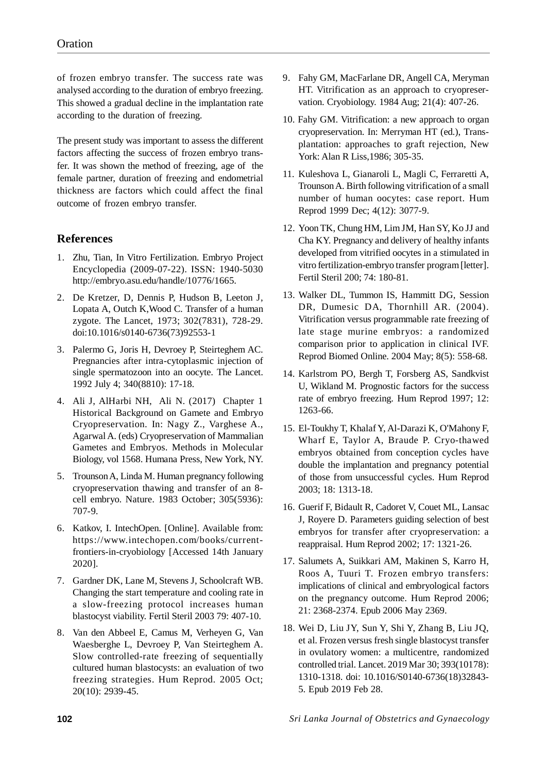of frozen embryo transfer. The success rate was analysed according to the duration of embryo freezing. This showed a gradual decline in the implantation rate according to the duration of freezing.

The present study was important to assess the different factors affecting the success of frozen embryo transfer. It was shown the method of freezing, age of the female partner, duration of freezing and endometrial thickness are factors which could affect the final outcome of frozen embryo transfer.

### **References**

- 1. Zhu, Tian, In Vitro Fertilization. Embryo Project Encyclopedia (2009-07-22). ISSN: 1940-5030 http://embryo.asu.edu/handle/10776/1665.
- 2. De Kretzer, D, Dennis P, Hudson B, Leeton J, Lopata A, Outch K,Wood C. Transfer of a human zygote. The Lancet, 1973; 302(7831), 728-29. doi:10.1016/s0140-6736(73)92553-1
- 3. Palermo G, Joris H, Devroey P, Steirteghem AC. Pregnancies after intra-cytoplasmic injection of single spermatozoon into an oocyte. The Lancet. 1992 July 4; 340(8810): 17-18.
- 4. Ali J, AlHarbi NH, Ali N. (2017) Chapter 1 Historical Background on Gamete and Embryo Cryopreservation. In: Nagy Z., Varghese A., Agarwal A. (eds) Cryopreservation of Mammalian Gametes and Embryos. Methods in Molecular Biology, vol 1568. Humana Press, New York, NY.
- 5. Trounson A, Linda M. Human pregnancy following cryopreservation thawing and transfer of an 8 cell embryo. Nature. 1983 October; 305(5936): 707-9.
- 6. Katkov, I. IntechOpen. [Online]. Available from: https://www.intechopen.com/books/currentfrontiers-in-cryobiology [Accessed 14th January 2020].
- 7. Gardner DK, Lane M, Stevens J, Schoolcraft WB. Changing the start temperature and cooling rate in a slow-freezing protocol increases human blastocyst viability. Fertil Steril 2003 79: 407-10.
- 8. Van den Abbeel E, Camus M, Verheyen G, Van Waesberghe L, Devroey P, Van Steirteghem A. Slow controlled-rate freezing of sequentially cultured human blastocysts: an evaluation of two freezing strategies. Hum Reprod. 2005 Oct; 20(10): 2939-45.
- 9. Fahy GM, MacFarlane DR, Angell CA, Meryman HT. Vitrification as an approach to cryopreservation. Cryobiology. 1984 Aug; 21(4): 407-26.
- 10. Fahy GM. Vitrification: a new approach to organ cryopreservation. In: Merryman HT (ed.), Transplantation: approaches to graft rejection, New York: Alan R Liss,1986; 305-35.
- 11. Kuleshova L, Gianaroli L, Magli C, Ferraretti A, Trounson A. Birth following vitrification of a small number of human oocytes: case report. Hum Reprod 1999 Dec; 4(12): 3077-9.
- 12. Yoon TK, Chung HM, Lim JM, Han SY, Ko JJ and Cha KY. Pregnancy and delivery of healthy infants developed from vitrified oocytes in a stimulated in vitro fertilization-embryo transfer program [letter]. Fertil Steril 200; 74: 180-81.
- 13. Walker DL, Tummon IS, Hammitt DG, Session DR, Dumesic DA, Thornhill AR. (2004). Vitrification versus programmable rate freezing of late stage murine embryos: a randomized comparison prior to application in clinical IVF. Reprod Biomed Online. 2004 May; 8(5): 558-68.
- 14. Karlstrom PO, Bergh T, Forsberg AS, Sandkvist U, Wikland M. Prognostic factors for the success rate of embryo freezing. Hum Reprod 1997; 12: 1263-66.
- 15. El-Toukhy T, Khalaf Y, Al-Darazi K, O'Mahony F, Wharf E, Taylor A, Braude P. Cryo-thawed embryos obtained from conception cycles have double the implantation and pregnancy potential of those from unsuccessful cycles. Hum Reprod 2003; 18: 1313-18.
- 16. Guerif F, Bidault R, Cadoret V, Couet ML, Lansac J, Royere D. Parameters guiding selection of best embryos for transfer after cryopreservation: a reappraisal. Hum Reprod 2002; 17: 1321-26.
- 17. Salumets A, Suikkari AM, Makinen S, Karro H, Roos A, Tuuri T. Frozen embryo transfers: implications of clinical and embryological factors on the pregnancy outcome. Hum Reprod 2006; 21: 2368-2374. Epub 2006 May 2369.
- 18. Wei D, Liu JY, Sun Y, Shi Y, Zhang B, Liu JQ, et al. Frozen versus fresh single blastocyst transfer in ovulatory women: a multicentre, randomized controlled trial. Lancet. 2019 Mar 30; 393(10178): 1310-1318. doi: 10.1016/S0140-6736(18)32843- 5. Epub 2019 Feb 28.